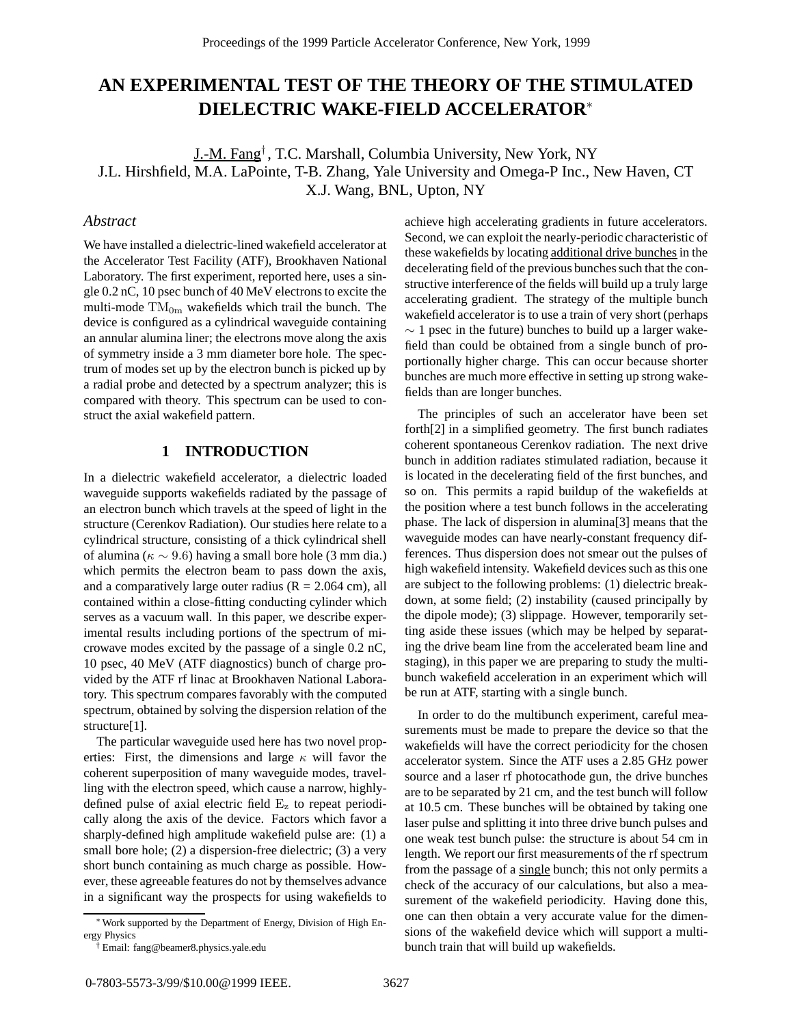# **AN EXPERIMENTAL TEST OF THE THEORY OF THE STIMULATED DIELECTRIC WAKE-FIELD ACCELERATOR**<sup>∗</sup>

J.-M. Fang† , T.C. Marshall, Columbia University, New York, NY J.L. Hirshfield, M.A. LaPointe, T-B. Zhang, Yale University and Omega-P Inc., New Haven, CT X.J. Wang, BNL, Upton, NY

### *Abstract*

We have installed a dielectric-lined wakefield accelerator at the Accelerator Test Facility (ATF), Brookhaven National Laboratory. The first experiment, reported here, uses a single 0.2 nC, 10 psec bunch of 40 MeV electrons to excite the multi-mode  $TM_{0m}$  wakefields which trail the bunch. The device is configured as a cylindrical waveguide containing an annular alumina liner; the electrons move along the axis of symmetry inside a 3 mm diameter bore hole. The spectrum of modes set up by the electron bunch is picked up by a radial probe and detected by a spectrum analyzer; this is compared with theory. This spectrum can be used to construct the axial wakefield pattern.

# **1 INTRODUCTION**

In a dielectric wakefield accelerator, a dielectric loaded waveguide supports wakefields radiated by the passage of an electron bunch which travels at the speed of light in the structure (Cerenkov Radiation). Our studies here relate to a cylindrical structure, consisting of a thick cylindrical shell of alumina ( $\kappa \sim 9.6$ ) having a small bore hole (3 mm dia.) which permits the electron beam to pass down the axis, and a comparatively large outer radius  $(R = 2.064$  cm), all contained within a close-fitting conducting cylinder which serves as a vacuum wall. In this paper, we describe experimental results including portions of the spectrum of microwave modes excited by the passage of a single 0.2 nC, 10 psec, 40 MeV (ATF diagnostics) bunch of charge provided by the ATF rf linac at Brookhaven National Laboratory. This spectrum compares favorably with the computed spectrum, obtained by solving the dispersion relation of the structure[1].

The particular waveguide used here has two novel properties: First, the dimensions and large  $\kappa$  will favor the coherent superposition of many waveguide modes, travelling with the electron speed, which cause a narrow, highlydefined pulse of axial electric field  $E<sub>z</sub>$  to repeat periodically along the axis of the device. Factors which favor a sharply-defined high amplitude wakefield pulse are: (1) a small bore hole; (2) a dispersion-free dielectric; (3) a very short bunch containing as much charge as possible. However, these agreeable features do not by themselves advance in a significant way the prospects for using wakefields to achieve high accelerating gradients in future accelerators. Second, we can exploit the nearly-periodic characteristic of these wakefields by locating additional drive bunches in the decelerating field of the previous bunches such that the constructive interference of the fields will build up a truly large accelerating gradient. The strategy of the multiple bunch wakefield accelerator is to use a train of very short (perhaps  $\sim$  1 psec in the future) bunches to build up a larger wakefield than could be obtained from a single bunch of proportionally higher charge. This can occur because shorter bunches are much more effective in setting up strong wakefields than are longer bunches.

The principles of such an accelerator have been set forth[2] in a simplified geometry. The first bunch radiates coherent spontaneous Cerenkov radiation. The next drive bunch in addition radiates stimulated radiation, because it is located in the decelerating field of the first bunches, and so on. This permits a rapid buildup of the wakefields at the position where a test bunch follows in the accelerating phase. The lack of dispersion in alumina[3] means that the waveguide modes can have nearly-constant frequency differences. Thus dispersion does not smear out the pulses of high wakefield intensity. Wakefield devices such as this one are subject to the following problems: (1) dielectric breakdown, at some field; (2) instability (caused principally by the dipole mode); (3) slippage. However, temporarily setting aside these issues (which may be helped by separating the drive beam line from the accelerated beam line and staging), in this paper we are preparing to study the multibunch wakefield acceleration in an experiment which will be run at ATF, starting with a single bunch.

In order to do the multibunch experiment, careful measurements must be made to prepare the device so that the wakefields will have the correct periodicity for the chosen accelerator system. Since the ATF uses a 2.85 GHz power source and a laser rf photocathode gun, the drive bunches are to be separated by 21 cm, and the test bunch will follow at 10.5 cm. These bunches will be obtained by taking one laser pulse and splitting it into three drive bunch pulses and one weak test bunch pulse: the structure is about 54 cm in length. We report our first measurements of the rf spectrum from the passage of a single bunch; this not only permits a check of the accuracy of our calculations, but also a measurement of the wakefield periodicity. Having done this, one can then obtain a very accurate value for the dimensions of the wakefield device which will support a multibunch train that will build up wakefields.

<sup>∗</sup>Work supported by the Department of Energy, Division of High Energy Physics

<sup>†</sup> Email: fang@beamer8.physics.yale.edu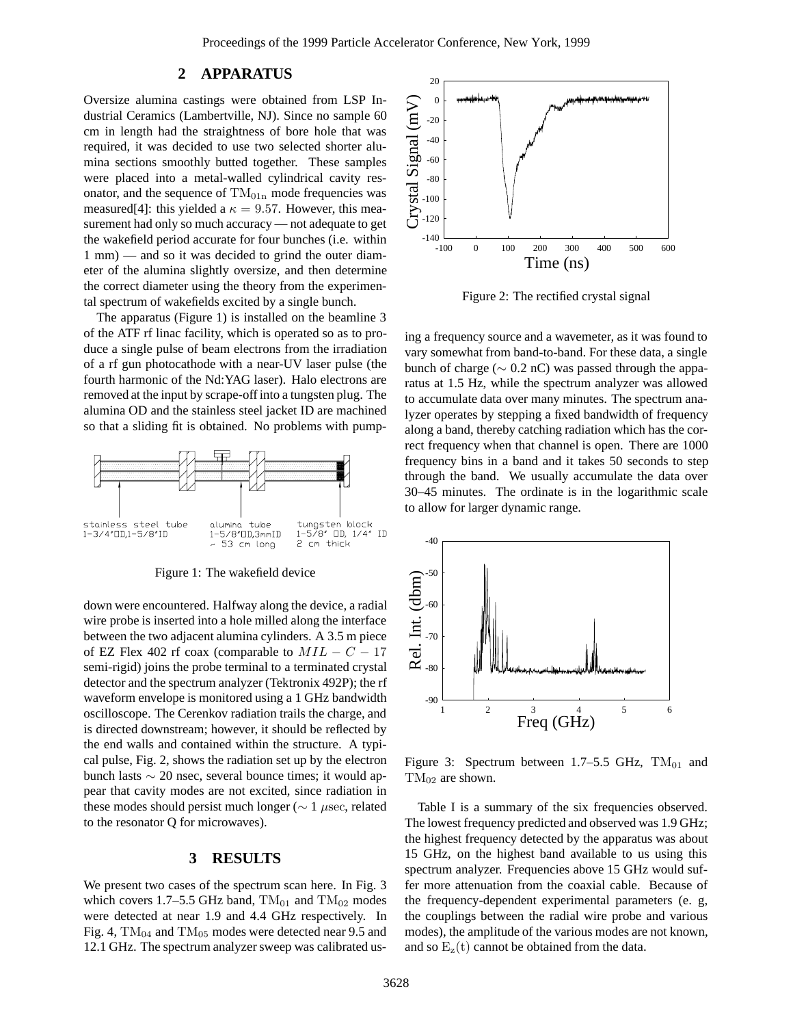## **2 APPARATUS**

Oversize alumina castings were obtained from LSP Industrial Ceramics (Lambertville, NJ). Since no sample 60 cm in length had the straightness of bore hole that was required, it was decided to use two selected shorter alumina sections smoothly butted together. These samples were placed into a metal-walled cylindrical cavity resonator, and the sequence of  $TM<sub>01n</sub>$  mode frequencies was measured[4]: this yielded a  $\kappa = 9.57$ . However, this measurement had only so much accuracy — not adequate to get the wakefield period accurate for four bunches (i.e. within 1 mm) — and so it was decided to grind the outer diameter of the alumina slightly oversize, and then determine the correct diameter using the theory from the experimental spectrum of wakefields excited by a single bunch.

The apparatus (Figure 1) is installed on the beamline 3 of the ATF rf linac facility, which is operated so as to produce a single pulse of beam electrons from the irradiation of a rf gun photocathode with a near-UV laser pulse (the fourth harmonic of the Nd:YAG laser). Halo electrons are removed at the input by scrape-off into a tungsten plug. The alumina OD and the stainless steel jacket ID are machined so that a sliding fit is obtained. No problems with pump-



Figure 1: The wakefield device

down were encountered. Halfway along the device, a radial wire probe is inserted into a hole milled along the interface between the two adjacent alumina cylinders. A 3.5 m piece of EZ Flex 402 rf coax (comparable to  $MIL - C - 17$ semi-rigid) joins the probe terminal to a terminated crystal detector and the spectrum analyzer (Tektronix 492P); the rf waveform envelope is monitored using a 1 GHz bandwidth oscilloscope. The Cerenkov radiation trails the charge, and is directed downstream; however, it should be reflected by the end walls and contained within the structure. A typical pulse, Fig. 2, shows the radiation set up by the electron bunch lasts ∼ 20 nsec, several bounce times; it would appear that cavity modes are not excited, since radiation in these modes should persist much longer ( $\sim 1 \mu$ sec, related to the resonator Q for microwaves).

#### **3 RESULTS**

We present two cases of the spectrum scan here. In Fig. 3 which covers 1.7–5.5 GHz band,  $TM_{01}$  and  $TM_{02}$  modes were detected at near 1.9 and 4.4 GHz respectively. In Fig. 4,  $TM_{04}$  and  $TM_{05}$  modes were detected near 9.5 and 12.1 GHz. The spectrum analyzer sweep was calibrated us-



Figure 2: The rectified crystal signal

ing a frequency source and a wavemeter, as it was found to vary somewhat from band-to-band. For these data, a single bunch of charge ( $\sim$  0.2 nC) was passed through the apparatus at 1.5 Hz, while the spectrum analyzer was allowed to accumulate data over many minutes. The spectrum analyzer operates by stepping a fixed bandwidth of frequency along a band, thereby catching radiation which has the correct frequency when that channel is open. There are 1000 frequency bins in a band and it takes 50 seconds to step through the band. We usually accumulate the data over 30–45 minutes. The ordinate is in the logarithmic scale to allow for larger dynamic range.



Figure 3: Spectrum between 1.7–5.5 GHz,  $TM_{01}$  and  $TM_{02}$  are shown.

Table I is a summary of the six frequencies observed. The lowest frequency predicted and observed was 1.9 GHz; the highest frequency detected by the apparatus was about 15 GHz, on the highest band available to us using this spectrum analyzer. Frequencies above 15 GHz would suffer more attenuation from the coaxial cable. Because of the frequency-dependent experimental parameters (e. g, the couplings between the radial wire probe and various modes), the amplitude of the various modes are not known, and so  $E_z(t)$  cannot be obtained from the data.